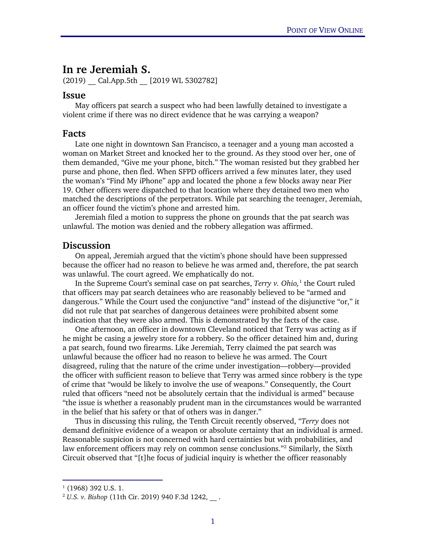# **In re Jeremiah S.**

(2019) Cal.App.5th [2019 WL 5302782]

### **Issue**

May officers pat search a suspect who had been lawfully detained to investigate a violent crime if there was no direct evidence that he was carrying a weapon?

#### **Facts**

Late one night in downtown San Francisco, a teenager and a young man accosted a woman on Market Street and knocked her to the ground. As they stood over her, one of them demanded, "Give me your phone, bitch." The woman resisted but they grabbed her purse and phone, then fled. When SFPD officers arrived a few minutes later, they used the woman's "Find My iPhone" app and located the phone a few blocks away near Pier 19. Other officers were dispatched to that location where they detained two men who matched the descriptions of the perpetrators. While pat searching the teenager, Jeremiah, an officer found the victim's phone and arrested him.

Jeremiah filed a motion to suppress the phone on grounds that the pat search was unlawful. The motion was denied and the robbery allegation was affirmed.

#### **Discussion**

On appeal, Jeremiah argued that the victim's phone should have been suppressed because the officer had no reason to believe he was armed and, therefore, the pat search was unlawful. The court agreed. We emphatically do not.

In the Supreme Court's seminal case on pat searches, *Terry v. Ohio*,<sup>[1](#page-0-0)</sup> the Court ruled that officers may pat search detainees who are reasonably believed to be "armed and dangerous." While the Court used the conjunctive "and" instead of the disjunctive "or," it did not rule that pat searches of dangerous detainees were prohibited absent some indication that they were also armed. This is demonstrated by the facts of the case.

One afternoon, an officer in downtown Cleveland noticed that Terry was acting as if he might be casing a jewelry store for a robbery. So the officer detained him and, during a pat search, found two firearms. Like Jeremiah, Terry claimed the pat search was unlawful because the officer had no reason to believe he was armed. The Court disagreed, ruling that the nature of the crime under investigation—robbery—provided the officer with sufficient reason to believe that Terry was armed since robbery is the type of crime that "would be likely to involve the use of weapons." Consequently, the Court ruled that officers "need not be absolutely certain that the individual is armed" because "the issue is whether a reasonably prudent man in the circumstances would be warranted in the belief that his safety or that of others was in danger."

Thus in discussing this ruling, the Tenth Circuit recently observed, "*Terry* does not demand definitive evidence of a weapon or absolute certainty that an individual is armed. Reasonable suspicion is not concerned with hard certainties but with probabilities, and law enforcement officers may rely on common sense conclusions."<sup>[2](#page-0-1)</sup> Similarly, the Sixth Circuit observed that "[t]he focus of judicial inquiry is whether the officer reasonably

<span id="page-0-0"></span> $1$  (1968) 392 U.S. 1.

<span id="page-0-1"></span><sup>2</sup> *U.S. v. Bishop* (11th Cir. 2019) 940 F.3d 1242, \_\_ .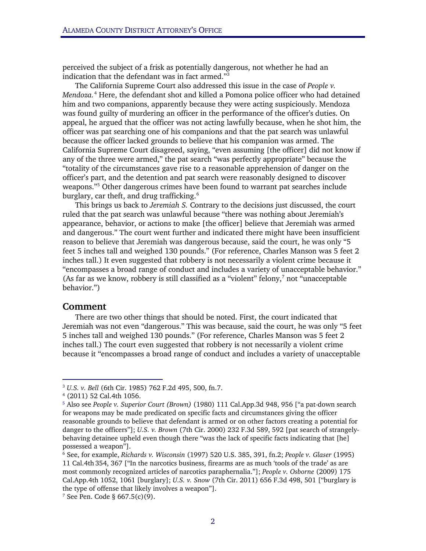perceived the subject of a frisk as potentially dangerous, not whether he had an indication that the defendant was in fact armed."[3](#page-1-0)

The California Supreme Court also addressed this issue in the case of *People v. Mendoza.* [4](#page-1-1) Here, the defendant shot and killed a Pomona police officer who had detained him and two companions, apparently because they were acting suspiciously. Mendoza was found guilty of murdering an officer in the performance of the officer's duties. On appeal, he argued that the officer was not acting lawfully because, when he shot him, the officer was pat searching one of his companions and that the pat search was unlawful because the officer lacked grounds to believe that his companion was armed. The California Supreme Court disagreed, saying, "even assuming [the officer] did not know if any of the three were armed," the pat search "was perfectly appropriate" because the "totality of the circumstances gave rise to a reasonable apprehension of danger on the officer's part, and the detention and pat search were reasonably designed to discover weapons."<sup>[5](#page-1-2)</sup> Other dangerous crimes have been found to warrant pat searches include burglary, car theft, and drug trafficking. $6$ 

This brings us back to *Jeremiah S.* Contrary to the decisions just discussed, the court ruled that the pat search was unlawful because "there was nothing about Jeremiah's appearance, behavior, or actions to make [the officer] believe that Jeremiah was armed and dangerous." The court went further and indicated there might have been insufficient reason to believe that Jeremiah was dangerous because, said the court, he was only "5 feet 5 inches tall and weighed 130 pounds." (For reference, Charles Manson was 5 feet 2 inches tall.) It even suggested that robbery is not necessarily a violent crime because it "encompasses a broad range of conduct and includes a variety of unacceptable behavior." (As far as we know, robbery is still classified as a "violent" felony, $^7$  not "unacceptable behavior.")

## **Comment**

There are two other things that should be noted. First, the court indicated that Jeremiah was not even "dangerous." This was because, said the court, he was only "5 feet 5 inches tall and weighed 130 pounds." (For reference, Charles Manson was 5 feet 2 inches tall.) The court even suggested that robbery is not necessarily a violent crime because it "encompasses a broad range of conduct and includes a variety of unacceptable

<span id="page-1-0"></span> <sup>3</sup> *U.S. v. Bell* (6th Cir. 1985) 762 F.2d 495, 500, fn.7.

<span id="page-1-1"></span><sup>4</sup> (2011) 52 Cal.4th 1056.

<span id="page-1-2"></span><sup>5</sup> Also see *People v. Superior Court (Brown)* (1980) 111 Cal.App.3d 948, 956 ["a pat-down search for weapons may be made predicated on specific facts and circumstances giving the officer reasonable grounds to believe that defendant is armed or on other factors creating a potential for danger to the officers"]; *U.S. v. Brown* (7th Cir. 2000) 232 F.3d 589, 592 [pat search of strangelybehaving detainee upheld even though there "was the lack of specific facts indicating that [he] possessed a weapon"].

<span id="page-1-3"></span><sup>6</sup> See, for example, *Richards v. Wisconsin* (1997) 520 U.S. 385, 391, fn.2; *People v. Glaser* (1995) 11 Cal.4th 354, 367 ["In the narcotics business, firearms are as much 'tools of the trade' as are most commonly recognized articles of narcotics paraphernalia."]; *People v. Osborne* (2009) 175 Cal.App.4th 1052, 1061 [burglary]; *U.S. v. Snow* (7th Cir. 2011) 656 F.3d 498, 501 ["burglary is the type of offense that likely involves a weapon"].

<span id="page-1-4"></span><sup>&</sup>lt;sup>7</sup> See Pen. Code  $\S$  667.5(c)(9).